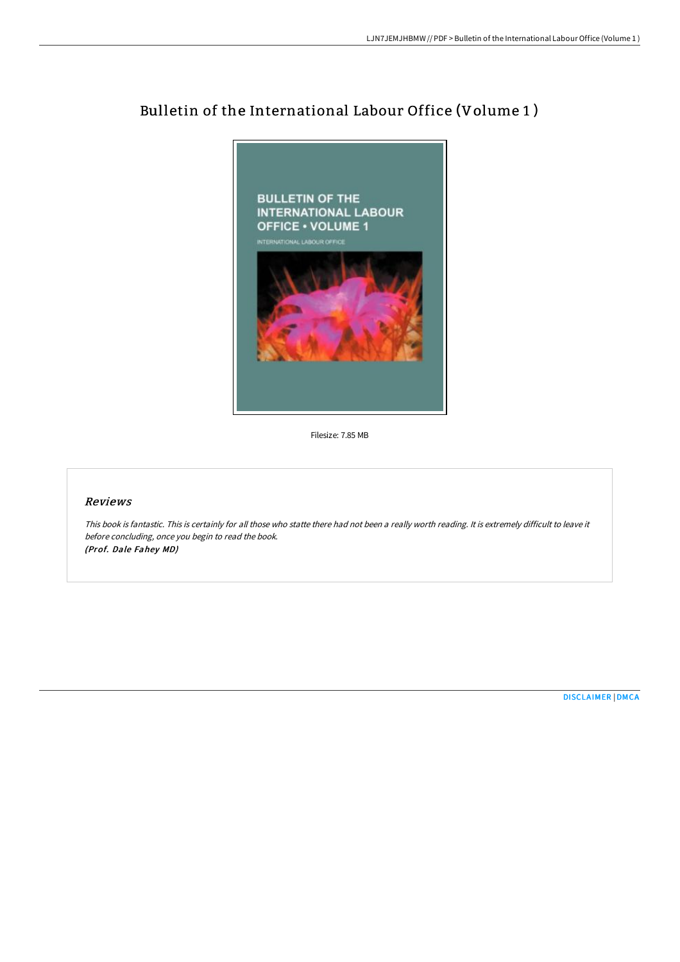

# Bulletin of the International Labour Office (Volume 1 )

Filesize: 7.85 MB

## Reviews

This book is fantastic. This is certainly for all those who statte there had not been <sup>a</sup> really worth reading. It is extremely difficult to leave it before concluding, once you begin to read the book. (Prof. Dale Fahey MD)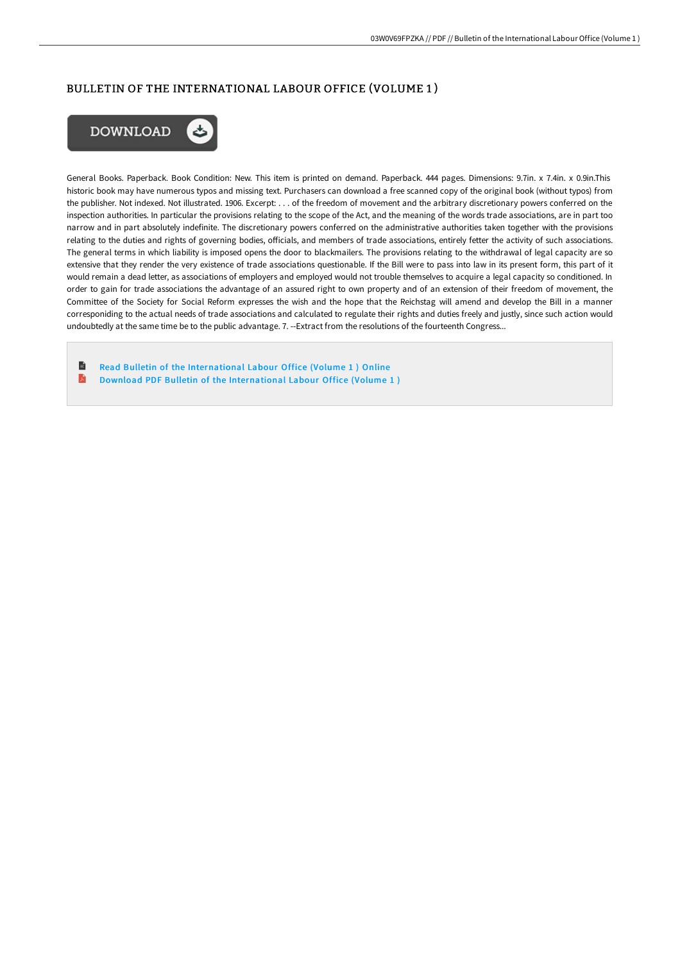## BULLETIN OF THE INTERNATIONAL LABOUR OFFICE (VOLUME 1 )



General Books. Paperback. Book Condition: New. This item is printed on demand. Paperback. 444 pages. Dimensions: 9.7in. x 7.4in. x 0.9in.This historic book may have numerous typos and missing text. Purchasers can download a free scanned copy of the original book (without typos) from the publisher. Not indexed. Not illustrated. 1906. Excerpt: . . . of the freedom of movement and the arbitrary discretionary powers conferred on the inspection authorities. In particular the provisions relating to the scope of the Act, and the meaning of the words trade associations, are in part too narrow and in part absolutely indefinite. The discretionary powers conferred on the administrative authorities taken together with the provisions relating to the duties and rights of governing bodies, officials, and members of trade associations, entirely fetter the activity of such associations. The general terms in which liability is imposed opens the door to blackmailers. The provisions relating to the withdrawal of legal capacity are so extensive that they render the very existence of trade associations questionable. If the Bill were to pass into law in its present form, this part of it would remain a dead letter, as associations of employers and employed would not trouble themselves to acquire a legal capacity so conditioned. In order to gain for trade associations the advantage of an assured right to own property and of an extension of their freedom of movement, the Committee of the Society for Social Reform expresses the wish and the hope that the Reichstag will amend and develop the Bill in a manner corresponiding to the actual needs of trade associations and calculated to regulate their rights and duties freely and justly, since such action would undoubtedly at the same time be to the public advantage. 7. --Extract from the resolutions of the fourteenth Congress...

旨 Read Bulletin of the [International](http://techno-pub.tech/bulletin-of-the-international-labour-office-volu-1.html) Labour Office (Volume 1 ) Online D Download PDF Bulletin of the [International](http://techno-pub.tech/bulletin-of-the-international-labour-office-volu-1.html) Labour Office (Volume 1 )